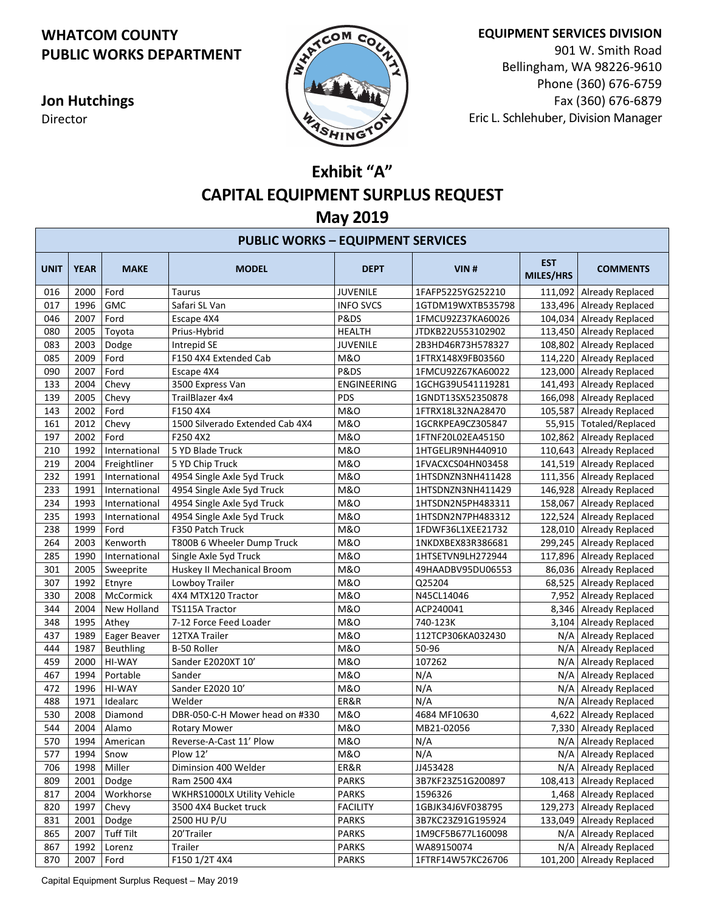## **WHATCOM COUNTY PUBLIC WORKS DEPARTMENT**

**Jon Hutchings** Director



**EQUIPMENT SERVICES DIVISION**

901 W. Smith Road Bellingham, WA 98226-9610 Phone (360) 676-6759 Fax (360) 676-6879 Eric L. Schlehuber, Division Manager

## **Exhibit "A" CAPITAL EQUIPMENT SURPLUS REQUEST May 2019**

| <b>PUBLIC WORKS - EQUIPMENT SERVICES</b> |             |                  |                                 |                    |                   |                         |                            |
|------------------------------------------|-------------|------------------|---------------------------------|--------------------|-------------------|-------------------------|----------------------------|
| <b>UNIT</b>                              | <b>YEAR</b> | <b>MAKE</b>      | <b>MODEL</b>                    | <b>DEPT</b>        | VIN#              | <b>EST</b><br>MILES/HRS | <b>COMMENTS</b>            |
| 016                                      | 2000        | Ford             | <b>Taurus</b>                   | <b>JUVENILE</b>    | 1FAFP5225YG252210 |                         | 111,092 Already Replaced   |
| 017                                      | 1996        | <b>GMC</b>       | Safari SL Van                   | <b>INFO SVCS</b>   | 1GTDM19WXTB535798 |                         | 133,496 Already Replaced   |
| 046                                      | 2007        | Ford             | Escape 4X4                      | P&DS               | 1FMCU92Z37KA60026 |                         | 104,034 Already Replaced   |
| 080                                      | 2005        | Toyota           | Prius-Hybrid                    | <b>HEALTH</b>      | JTDKB22U553102902 |                         | 113,450 Already Replaced   |
| 083                                      | 2003        | Dodge            | Intrepid SE                     | <b>JUVENILE</b>    | 2B3HD46R73H578327 |                         | 108,802   Already Replaced |
| 085                                      | 2009        | Ford             | F150 4X4 Extended Cab           | <b>M&amp;O</b>     | 1FTRX148X9FB03560 |                         | 114,220 Already Replaced   |
| 090                                      | 2007        | Ford             | Escape 4X4                      | P&DS               | 1FMCU92Z67KA60022 |                         | 123,000   Already Replaced |
| 133                                      | 2004        | Chevy            | 3500 Express Van                | <b>ENGINEERING</b> | 1GCHG39U541119281 |                         | 141,493   Already Replaced |
| 139                                      | 2005        | Chevy            | TrailBlazer 4x4                 | PDS                | 1GNDT13SX52350878 |                         | 166,098   Already Replaced |
| 143                                      | 2002        | Ford             | F150 4X4                        | <b>M&amp;O</b>     | 1FTRX18L32NA28470 |                         | 105,587   Already Replaced |
| 161                                      | 2012        | Chevy            | 1500 Silverado Extended Cab 4X4 | <b>M&amp;O</b>     | 1GCRKPEA9CZ305847 |                         | 55,915   Totaled/Replaced  |
| 197                                      | 2002        | Ford             | F250 4X2                        | <b>M&amp;O</b>     | 1FTNF20L02EA45150 |                         | 102,862 Already Replaced   |
| 210                                      | 1992        | International    | 5 YD Blade Truck                | <b>M&amp;O</b>     | 1HTGELJR9NH440910 |                         | 110,643   Already Replaced |
| 219                                      | 2004        | Freightliner     | 5 YD Chip Truck                 | <b>M&amp;O</b>     | 1FVACXCS04HN03458 |                         | 141,519 Already Replaced   |
| 232                                      | 1991        | International    | 4954 Single Axle 5yd Truck      | <b>M&amp;O</b>     | 1HTSDNZN3NH411428 |                         | 111,356 Already Replaced   |
| 233                                      | 1991        | International    | 4954 Single Axle 5yd Truck      | <b>M&amp;O</b>     | 1HTSDNZN3NH411429 |                         | 146,928 Already Replaced   |
| 234                                      | 1993        | International    | 4954 Single Axle 5yd Truck      | <b>M&amp;O</b>     | 1HTSDN2N5PH483311 |                         | 158,067 Already Replaced   |
| 235                                      | 1993        | International    | 4954 Single Axle 5yd Truck      | <b>M&amp;O</b>     | 1HTSDN2N7PH483312 |                         | 122,524 Already Replaced   |
| 238                                      | 1999        | Ford             | F350 Patch Truck                | M&0                | 1FDWF36L1XEE21732 |                         | 128,010   Already Replaced |
| 264                                      | 2003        | Kenworth         | T800B 6 Wheeler Dump Truck      | M&O                | 1NKDXBEX83R386681 |                         | 299,245   Already Replaced |
| 285                                      | 1990        | International    | Single Axle 5yd Truck           | <b>M&amp;O</b>     | 1HTSETVN9LH272944 |                         | 117,896 Already Replaced   |
| 301                                      | 2005        | Sweeprite        | Huskey II Mechanical Broom      | <b>M&amp;O</b>     | 49HAADBV95DU06553 |                         | 86,036   Already Replaced  |
| 307                                      | 1992        | Etnyre           | Lowboy Trailer                  | <b>M&amp;O</b>     | Q25204            |                         | 68,525 Already Replaced    |
| 330                                      | 2008        | McCormick        | 4X4 MTX120 Tractor              | <b>M&amp;O</b>     | N45CL14046        |                         | 7,952 Already Replaced     |
| 344                                      | 2004        | New Holland      | <b>TS115A Tractor</b>           | <b>M&amp;O</b>     | ACP240041         |                         | 8,346 Already Replaced     |
| 348                                      | 1995        | Athey            | 7-12 Force Feed Loader          | <b>M&amp;O</b>     | 740-123K          |                         | 3,104 Already Replaced     |
| 437                                      | 1989        | Eager Beaver     | 12TXA Trailer                   | <b>M&amp;O</b>     | 112TCP306KA032430 | N/A                     | <b>Already Replaced</b>    |
| 444                                      | 1987        | Beuthling        | B-50 Roller                     | <b>M&amp;O</b>     | 50-96             | N/A                     | Already Replaced           |
| 459                                      | 2000        | HI-WAY           | Sander E2020XT 10'              | <b>M&amp;O</b>     | 107262            |                         | N/A Already Replaced       |
| 467                                      | 1994        | Portable         | Sander                          | <b>M&amp;O</b>     | N/A               |                         | N/A   Already Replaced     |
| 472                                      | 1996        | HI-WAY           | Sander E2020 10'                | M&O                | N/A               | N/A                     | <b>Already Replaced</b>    |
| 488                                      | 1971        | Idealarc         | Welder                          | ER&R               | N/A               | N/A                     | <b>Already Replaced</b>    |
| 530                                      | 2008        | Diamond          | DBR-050-C-H Mower head on #330  | <b>M&amp;O</b>     | 4684 MF10630      | 4,622                   | <b>Already Replaced</b>    |
| 544                                      | 2004        | Alamo            | <b>Rotary Mower</b>             | <b>M&amp;O</b>     | MB21-02056        |                         | 7,330 Already Replaced     |
| 570                                      | 1994        | American         | Reverse-A-Cast 11' Plow         | <b>M&amp;O</b>     | N/A               |                         | N/A Already Replaced       |
| 577                                      | 1994        | Snow             | Plow 12'                        | M&0                | N/A               |                         | N/A   Already Replaced     |
| 706                                      | 1998        | Miller           | Diminsion 400 Welder            | ER&R               | JJ453428          |                         | N/A   Already Replaced     |
| 809                                      | 2001        | Dodge            | Ram 2500 4X4                    | <b>PARKS</b>       | 3B7KF23Z51G200897 |                         | 108,413 Already Replaced   |
| 817                                      | 2004        | Workhorse        | WKHRS1000LX Utility Vehicle     | <b>PARKS</b>       | 1596326           |                         | 1,468 Already Replaced     |
| 820                                      | 1997        | Chevy            | 3500 4X4 Bucket truck           | <b>FACILITY</b>    | 1GBJK34J6VF038795 |                         | 129,273   Already Replaced |
| 831                                      | 2001        | Dodge            | 2500 HU P/U                     | <b>PARKS</b>       | 3B7KC23Z91G195924 |                         | 133,049   Already Replaced |
| 865                                      | 2007        | <b>Tuff Tilt</b> | 20'Trailer                      | <b>PARKS</b>       | 1M9CF5B677L160098 |                         | N/A   Already Replaced     |
| 867                                      | 1992        | Lorenz           | Trailer                         | <b>PARKS</b>       | WA89150074        | N/A                     | Already Replaced           |
| 870                                      | 2007        | Ford             | F150 1/2T 4X4                   | <b>PARKS</b>       | 1FTRF14W57KC26706 |                         | 101,200 Already Replaced   |